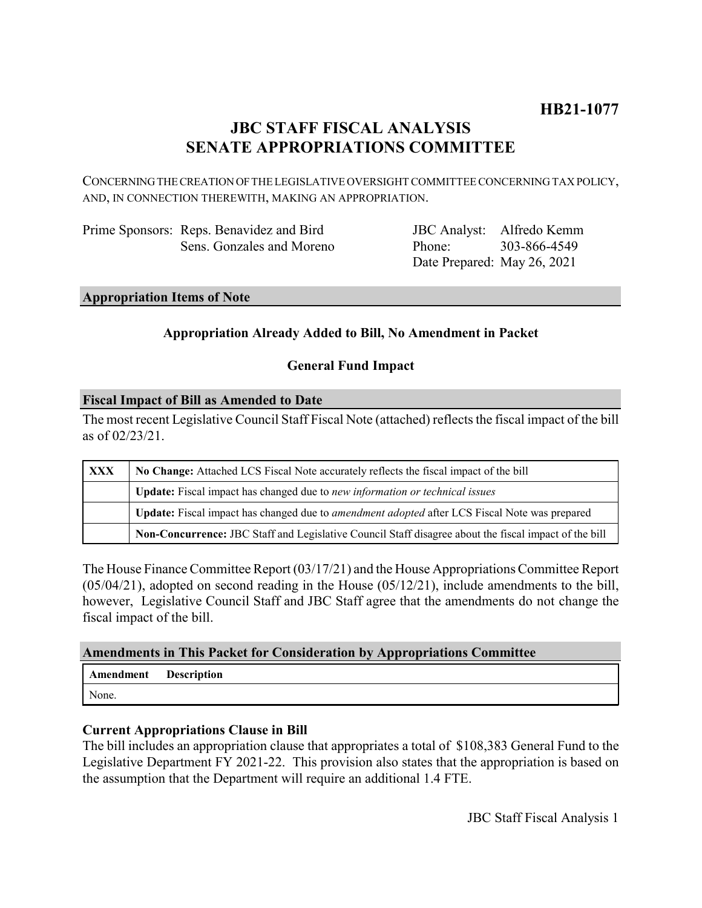# **HB21-1077**

## **JBC STAFF FISCAL ANALYSIS SENATE APPROPRIATIONS COMMITTEE**

CONCERNING THE CREATION OF THE LEGISLATIVE OVERSIGHT COMMITTEE CONCERNING TAX POLICY, AND, IN CONNECTION THEREWITH, MAKING AN APPROPRIATION.

| Prime Sponsors: Reps. Benavidez and Bird |
|------------------------------------------|
| Sens. Gonzales and Moreno                |

JBC Analyst: Alfredo Kemm Phone: Date Prepared: May 26, 2021 303-866-4549

#### **Appropriation Items of Note**

### **Appropriation Already Added to Bill, No Amendment in Packet**

### **General Fund Impact**

#### **Fiscal Impact of Bill as Amended to Date**

The most recent Legislative Council Staff Fiscal Note (attached) reflects the fiscal impact of the bill as of 02/23/21.

| <b>XXX</b> | No Change: Attached LCS Fiscal Note accurately reflects the fiscal impact of the bill                 |  |
|------------|-------------------------------------------------------------------------------------------------------|--|
|            | <b>Update:</b> Fiscal impact has changed due to new information or technical issues                   |  |
|            | Update: Fiscal impact has changed due to <i>amendment adopted</i> after LCS Fiscal Note was prepared  |  |
|            | Non-Concurrence: JBC Staff and Legislative Council Staff disagree about the fiscal impact of the bill |  |

The House Finance Committee Report (03/17/21) and the House Appropriations Committee Report  $(05/04/21)$ , adopted on second reading in the House  $(05/12/21)$ , include amendments to the bill, however, Legislative Council Staff and JBC Staff agree that the amendments do not change the fiscal impact of the bill.

#### **Amendments in This Packet for Consideration by Appropriations Committee**

| Amendment | <b>Description</b> |
|-----------|--------------------|
| None.     |                    |

#### **Current Appropriations Clause in Bill**

The bill includes an appropriation clause that appropriates a total of \$108,383 General Fund to the Legislative Department FY 2021-22. This provision also states that the appropriation is based on the assumption that the Department will require an additional 1.4 FTE.